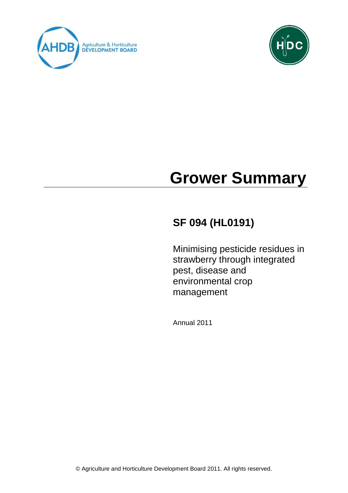



# **Grower Summary**

# **SF 094 (HL0191)**

Minimising pesticide residues in strawberry through integrated pest, disease and environmental crop management

Annual 2011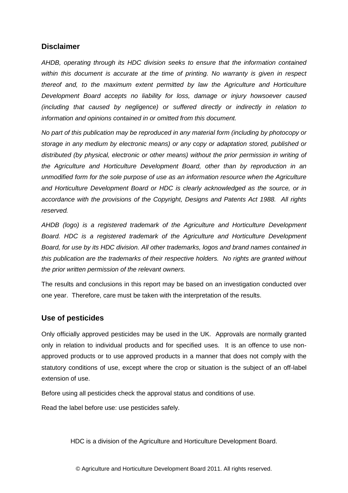# **Disclaimer**

*AHDB, operating through its HDC division seeks to ensure that the information contained within this document is accurate at the time of printing. No warranty is given in respect thereof and, to the maximum extent permitted by law the Agriculture and Horticulture Development Board accepts no liability for loss, damage or injury howsoever caused (including that caused by negligence) or suffered directly or indirectly in relation to information and opinions contained in or omitted from this document.* 

*No part of this publication may be reproduced in any material form (including by photocopy or storage in any medium by electronic means) or any copy or adaptation stored, published or distributed (by physical, electronic or other means) without the prior permission in writing of the Agriculture and Horticulture Development Board, other than by reproduction in an unmodified form for the sole purpose of use as an information resource when the Agriculture and Horticulture Development Board or HDC is clearly acknowledged as the source, or in accordance with the provisions of the Copyright, Designs and Patents Act 1988. All rights reserved.* 

*AHDB (logo) is a registered trademark of the Agriculture and Horticulture Development Board. HDC is a registered trademark of the Agriculture and Horticulture Development Board, for use by its HDC division. All other trademarks, logos and brand names contained in this publication are the trademarks of their respective holders. No rights are granted without the prior written permission of the relevant owners.*

The results and conclusions in this report may be based on an investigation conducted over one year. Therefore, care must be taken with the interpretation of the results.

# **Use of pesticides**

Only officially approved pesticides may be used in the UK. Approvals are normally granted only in relation to individual products and for specified uses. It is an offence to use nonapproved products or to use approved products in a manner that does not comply with the statutory conditions of use, except where the crop or situation is the subject of an off-label extension of use.

Before using all pesticides check the approval status and conditions of use.

Read the label before use: use pesticides safely.

HDC is a division of the Agriculture and Horticulture Development Board.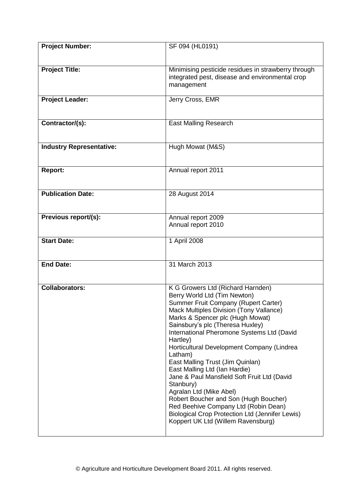| <b>Project Number:</b>          | SF 094 (HL0191)                                                                                                                                                                                                                                                                                                                                                                                                                                                                                                                                                                                                                                                                              |
|---------------------------------|----------------------------------------------------------------------------------------------------------------------------------------------------------------------------------------------------------------------------------------------------------------------------------------------------------------------------------------------------------------------------------------------------------------------------------------------------------------------------------------------------------------------------------------------------------------------------------------------------------------------------------------------------------------------------------------------|
| <b>Project Title:</b>           | Minimising pesticide residues in strawberry through<br>integrated pest, disease and environmental crop<br>management                                                                                                                                                                                                                                                                                                                                                                                                                                                                                                                                                                         |
| <b>Project Leader:</b>          | Jerry Cross, EMR                                                                                                                                                                                                                                                                                                                                                                                                                                                                                                                                                                                                                                                                             |
| Contractor/(s):                 | <b>East Malling Research</b>                                                                                                                                                                                                                                                                                                                                                                                                                                                                                                                                                                                                                                                                 |
| <b>Industry Representative:</b> | Hugh Mowat (M&S)                                                                                                                                                                                                                                                                                                                                                                                                                                                                                                                                                                                                                                                                             |
| Report:                         | Annual report 2011                                                                                                                                                                                                                                                                                                                                                                                                                                                                                                                                                                                                                                                                           |
| <b>Publication Date:</b>        | 28 August 2014                                                                                                                                                                                                                                                                                                                                                                                                                                                                                                                                                                                                                                                                               |
| Previous report/(s):            | Annual report 2009<br>Annual report 2010                                                                                                                                                                                                                                                                                                                                                                                                                                                                                                                                                                                                                                                     |
| <b>Start Date:</b>              | 1 April 2008                                                                                                                                                                                                                                                                                                                                                                                                                                                                                                                                                                                                                                                                                 |
| <b>End Date:</b>                | 31 March 2013                                                                                                                                                                                                                                                                                                                                                                                                                                                                                                                                                                                                                                                                                |
| <b>Collaborators:</b>           | K G Growers Ltd (Richard Harnden)<br>Berry World Ltd (Tim Newton)<br>Summer Fruit Company (Rupert Carter)<br>Mack Multiples Division (Tony Vallance)<br>Marks & Spencer plc (Hugh Mowat)<br>Sainsbury's plc (Theresa Huxley)<br>International Pheromone Systems Ltd (David<br>Hartley)<br>Horticultural Development Company (Lindrea<br>Latham)<br>East Malling Trust (Jim Quinlan)<br>East Malling Ltd (Ian Hardie)<br>Jane & Paul Mansfield Soft Fruit Ltd (David<br>Stanbury)<br>Agralan Ltd (Mike Abel)<br>Robert Boucher and Son (Hugh Boucher)<br>Red Beehive Company Ltd (Robin Dean)<br><b>Biological Crop Protection Ltd (Jennifer Lewis)</b><br>Koppert UK Ltd (Willem Ravensburg) |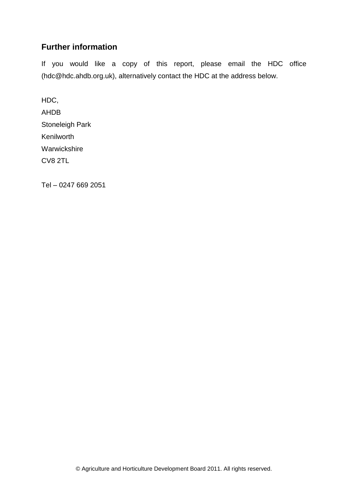# **Further information**

If you would like a copy of this report, please email the HDC office (hdc@hdc.ahdb.org.uk), alternatively contact the HDC at the address below.

HDC, AHDB Stoneleigh Park Kenilworth Warwickshire CV8 2TL

Tel – 0247 669 2051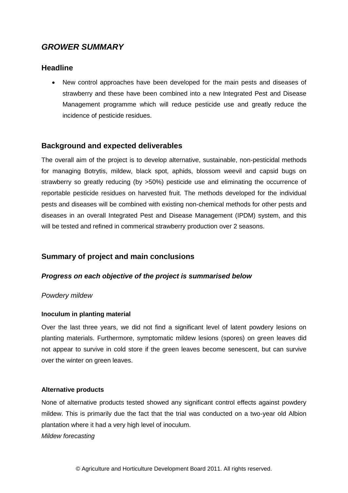# *GROWER SUMMARY*

# **Headline**

 New control approaches have been developed for the main pests and diseases of strawberry and these have been combined into a new Integrated Pest and Disease Management programme which will reduce pesticide use and greatly reduce the incidence of pesticide residues.

# **Background and expected deliverables**

The overall aim of the project is to develop alternative, sustainable, non-pesticidal methods for managing Botrytis, mildew, black spot, aphids, blossom weevil and capsid bugs on strawberry so greatly reducing (by >50%) pesticide use and eliminating the occurrence of reportable pesticide residues on harvested fruit. The methods developed for the individual pests and diseases will be combined with existing non-chemical methods for other pests and diseases in an overall Integrated Pest and Disease Management (IPDM) system, and this will be tested and refined in commerical strawberry production over 2 seasons.

# **Summary of project and main conclusions**

# *Progress on each objective of the project is summarised below*

#### *Powdery mildew*

#### **Inoculum in planting material**

Over the last three years, we did not find a significant level of latent powdery lesions on planting materials. Furthermore, symptomatic mildew lesions (spores) on green leaves did not appear to survive in cold store if the green leaves become senescent, but can survive over the winter on green leaves.

#### **Alternative products**

None of alternative products tested showed any significant control effects against powdery mildew. This is primarily due the fact that the trial was conducted on a two-year old Albion plantation where it had a very high level of inoculum.

*Mildew forecasting*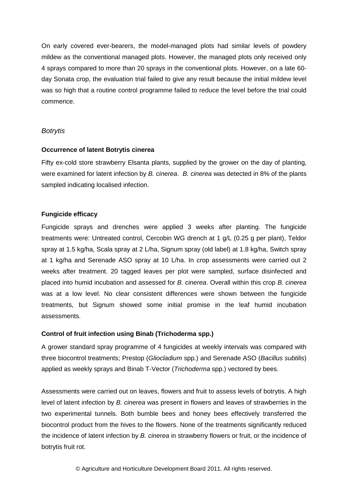On early covered ever-bearers, the model-managed plots had similar levels of powdery mildew as the conventional managed plots. However, the managed plots only received only 4 sprays compared to more than 20 sprays in the conventional plots. However, on a late 60 day Sonata crop, the evaluation trial failed to give any result because the initial mildew level was so high that a routine control programme failed to reduce the level before the trial could commence.

#### *Botrytis*

#### **Occurrence of latent Botrytis cinerea**

Fifty ex-cold store strawberry Elsanta plants, supplied by the grower on the day of planting, were examined for latent infection by *B. cinerea*. *B. cinerea* was detected in 8% of the plants sampled indicating localised infection.

#### **Fungicide efficacy**

Fungicide sprays and drenches were applied 3 weeks after planting. The fungicide treatments were: Untreated control, Cercobin WG drench at 1 g/L (0.25 g per plant), Teldor spray at 1.5 kg/ha, Scala spray at 2 L/ha, Signum spray (old label) at 1.8 kg/ha, Switch spray at 1 kg/ha and Serenade ASO spray at 10 L/ha. In crop assessments were carried out 2 weeks after treatment. 20 tagged leaves per plot were sampled, surface disinfected and placed into humid incubation and assessed for *B. cinerea*. Overall within this crop *B. cinerea* was at a low level. No clear consistent differences were shown between the fungicide treatments, but Signum showed some initial promise in the leaf humid incubation assessments.

#### **Control of fruit infection using Binab (Trichoderma spp.)**

A grower standard spray programme of 4 fungicides at weekly intervals was compared with three biocontrol treatments; Prestop (*Gliocladium* spp.) and Serenade ASO (*Bacillus subtilis*) applied as weekly sprays and Binab T-Vector (*Trichoderma* spp.) vectored by bees.

Assessments were carried out on leaves, flowers and fruit to assess levels of botrytis. A high level of latent infection by *B. cinerea* was present in flowers and leaves of strawberries in the two experimental tunnels. Both bumble bees and honey bees effectively transferred the biocontrol product from the hives to the flowers. None of the treatments significantly reduced the incidence of latent infection by *B. cinerea* in strawberry flowers or fruit, or the incidence of botrytis fruit rot.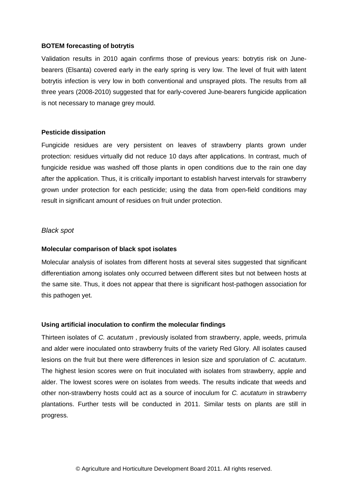#### **BOTEM forecasting of botrytis**

Validation results in 2010 again confirms those of previous years: botrytis risk on Junebearers (Elsanta) covered early in the early spring is very low. The level of fruit with latent botrytis infection is very low in both conventional and unsprayed plots. The results from all three years (2008-2010) suggested that for early-covered June-bearers fungicide application is not necessary to manage grey mould.

#### **Pesticide dissipation**

Fungicide residues are very persistent on leaves of strawberry plants grown under protection: residues virtually did not reduce 10 days after applications. In contrast, much of fungicide residue was washed off those plants in open conditions due to the rain one day after the application. Thus, it is critically important to establish harvest intervals for strawberry grown under protection for each pesticide; using the data from open-field conditions may result in significant amount of residues on fruit under protection.

#### *Black spot*

#### **Molecular comparison of black spot isolates**

Molecular analysis of isolates from different hosts at several sites suggested that significant differentiation among isolates only occurred between different sites but not between hosts at the same site. Thus, it does not appear that there is significant host-pathogen association for this pathogen yet.

#### **Using artificial inoculation to confirm the molecular findings**

Thirteen isolates of *C. acutatum* , previously isolated from strawberry, apple, weeds, primula and alder were inoculated onto strawberry fruits of the variety Red Glory. All isolates caused lesions on the fruit but there were differences in lesion size and sporulation of *C. acutatum*. The highest lesion scores were on fruit inoculated with isolates from strawberry, apple and alder. The lowest scores were on isolates from weeds. The results indicate that weeds and other non-strawberry hosts could act as a source of inoculum for *C. acutatum* in strawberry plantations. Further tests will be conducted in 2011. Similar tests on plants are still in progress.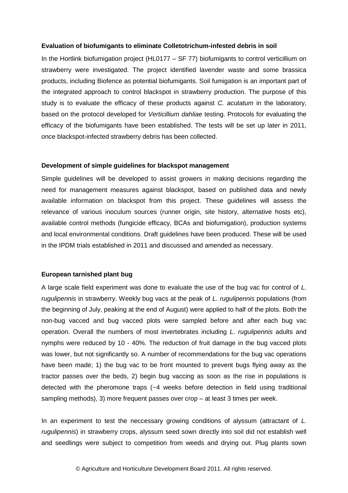#### **Evaluation of biofumigants to eliminate Colletotrichum-infested debris in soil**

In the Hortlink biofumigation project (HL0177 – SF 77) biofumigants to control verticillium on strawberry were investigated. The project identified lavender waste and some brassica products, including Biofence as potential biofumigants. Soil fumigation is an important part of the integrated approach to control blackspot in strawberry production. The purpose of this study is to evaluate the efficacy of these products against *C. acutatum* in the laboratory, based on the protocol developed for *Verticillium dahliae* testing. Protocols for evaluating the efficacy of the biofumigants have been established. The tests will be set up later in 2011, once blackspot-infected strawberry debris has been collected.

#### **Development of simple guidelines for blackspot management**

Simple guidelines will be developed to assist growers in making decisions regarding the need for management measures against blackspot, based on published data and newly available information on blackspot from this project. These guidelines will assess the relevance of various inoculum sources (runner origin, site history, alternative hosts etc), available control methods (fungicide efficacy, BCAs and biofumigation), production systems and local environmental conditions. Draft guidelines have been produced. These will be used in the IPDM trials established in 2011 and discussed and amended as necessary.

#### **European tarnished plant bug**

A large scale field experiment was done to evaluate the use of the bug vac for control of *L. rugulipennis* in strawberry. Weekly bug vacs at the peak of *L. rugulipennis* populations (from the beginning of July, peaking at the end of August) were applied to half of the plots. Both the non-bug vacced and bug vacced plots were sampled before and after each bug vac operation. Overall the numbers of most invertebrates including *L. rugulipennis* adults and nymphs were reduced by 10 - 40%. The reduction of fruit damage in the bug vacced plots was lower, but not significantly so. A number of recommendations for the bug vac operations have been made; 1) the bug vac to be front mounted to prevent bugs flying away as the tractor passes over the beds, 2) begin bug vaccing as soon as the rise in populations is detected with the pheromone traps (~4 weeks before detection in field using traditional sampling methods), 3) more frequent passes over crop – at least 3 times per week.

In an experiment to test the neccessary growing conditions of alyssum (attractant of *L. rugulipennis*) in strawberry crops, alyssum seed sown directly into soil did not establish well and seedlings were subject to competition from weeds and drying out. Plug plants sown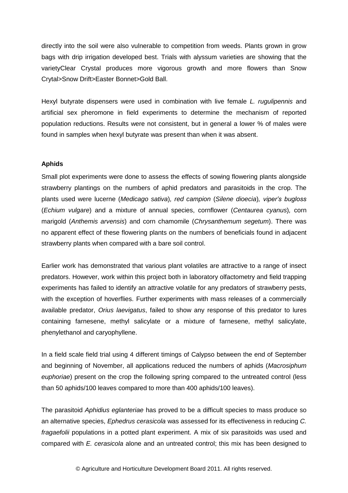directly into the soil were also vulnerable to competition from weeds. Plants grown in grow bags with drip irrigation developed best. Trials with alyssum varieties are showing that the varietyClear Crystal produces more vigorous growth and more flowers than Snow Crytal>Snow Drift>Easter Bonnet>Gold Ball.

Hexyl butyrate dispensers were used in combination with live female *L. rugulipennis* and artificial sex pheromone in field experiments to determine the mechanism of reported population reductions. Results were not consistent, but in general a lower % of males were found in samples when hexyl butyrate was present than when it was absent.

#### **Aphids**

Small plot experiments were done to assess the effects of sowing flowering plants alongside strawberry plantings on the numbers of aphid predators and parasitoids in the crop. The plants used were lucerne (*Medicago sativa*)*, red campion* (*Silene dioecia*)*, viper's bugloss* (*Echium vulgare*) and a mixture of annual species, cornflower (*Centaurea cyanus*)*,* corn marigold (*Anthemis arvensis*) and corn chamomile (*Chrysanthemum segetum*). There was no apparent effect of these flowering plants on the numbers of beneficials found in adjacent strawberry plants when compared with a bare soil control.

Earlier work has demonstrated that various plant volatiles are attractive to a range of insect predators. However, work within this project both in laboratory olfactometry and field trapping experiments has failed to identify an attractive volatile for any predators of strawberry pests, with the exception of hoverflies. Further experiments with mass releases of a commercially available predator, *Orius laevigatus*, failed to show any response of this predator to lures containing farnesene, methyl salicylate or a mixture of farnesene, methyl salicylate, phenylethanol and caryophyllene.

In a field scale field trial using 4 different timings of Calypso between the end of September and beginning of November, all applications reduced the numbers of aphids (*Macrosiphum euphoriae*) present on the crop the following spring compared to the untreated control (less than 50 aphids/100 leaves compared to more than 400 aphids/100 leaves).

The parasitoid *Aphidius eglanteriae* has proved to be a difficult species to mass produce so an alternative species, *Ephedrus cerasicola* was assessed for its effectiveness in reducing *C. fragaefolii* populations in a potted plant experiment. A mix of six parasitoids was used and compared with *E. cerasicola* alone and an untreated control; this mix has been designed to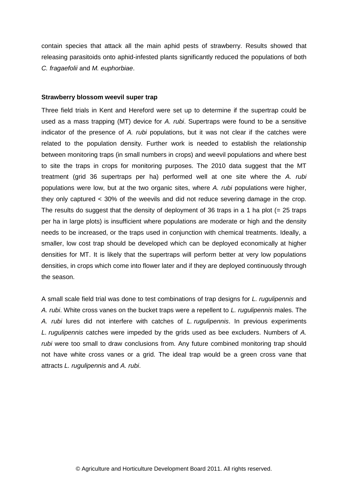contain species that attack all the main aphid pests of strawberry. Results showed that releasing parasitoids onto aphid-infested plants significantly reduced the populations of both *C. fragaefolii* and *M. euphorbiae*.

#### **Strawberry blossom weevil super trap**

Three field trials in Kent and Hereford were set up to determine if the supertrap could be used as a mass trapping (MT) device for *A. rubi*. Supertraps were found to be a sensitive indicator of the presence of *A. rubi* populations, but it was not clear if the catches were related to the population density. Further work is needed to establish the relationship between monitoring traps (in small numbers in crops) and weevil populations and where best to site the traps in crops for monitoring purposes. The 2010 data suggest that the MT treatment (grid 36 supertraps per ha) performed well at one site where the *A. rubi* populations were low, but at the two organic sites, where *A. rubi* populations were higher, they only captured < 30% of the weevils and did not reduce severing damage in the crop. The results do suggest that the density of deployment of 36 traps in a 1 ha plot ( $= 25$  traps per ha in large plots) is insufficient where populations are moderate or high and the density needs to be increased, or the traps used in conjunction with chemical treatments. Ideally, a smaller, low cost trap should be developed which can be deployed economically at higher densities for MT. It is likely that the supertraps will perform better at very low populations densities, in crops which come into flower later and if they are deployed continuously through the season.

A small scale field trial was done to test combinations of trap designs for *L. rugulipennis* and *A. rubi*. White cross vanes on the bucket traps were a repellent to *L. rugulipennis* males. The *A. rubi* lures did not interfere with catches of *L. rugulipennis*. In previous experiments *L. rugulipennis* catches were impeded by the grids used as bee excluders. Numbers of *A. rubi* were too small to draw conclusions from. Any future combined monitoring trap should not have white cross vanes or a grid. The ideal trap would be a green cross vane that attracts *L. rugulipennis* and *A. rubi*.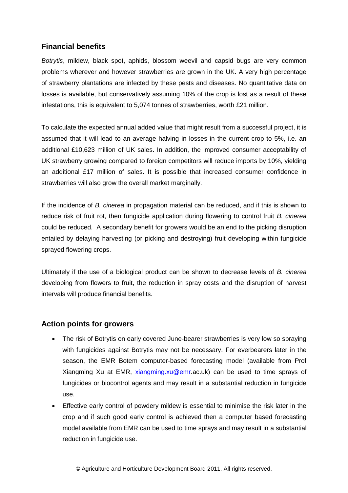# **Financial benefits**

*Botrytis*, mildew, black spot, aphids, blossom weevil and capsid bugs are very common problems wherever and however strawberries are grown in the UK. A very high percentage of strawberry plantations are infected by these pests and diseases. No quantitative data on losses is available, but conservatively assuming 10% of the crop is lost as a result of these infestations, this is equivalent to 5,074 tonnes of strawberries, worth £21 million.

To calculate the expected annual added value that might result from a successful project, it is assumed that it will lead to an average halving in losses in the current crop to 5%, i.e. an additional £10,623 million of UK sales. In addition, the improved consumer acceptability of UK strawberry growing compared to foreign competitors will reduce imports by 10%, yielding an additional £17 million of sales. It is possible that increased consumer confidence in strawberries will also grow the overall market marginally.

If the incidence of *B. cinerea* in propagation material can be reduced, and if this is shown to reduce risk of fruit rot, then fungicide application during flowering to control fruit *B. cinerea* could be reduced. A secondary benefit for growers would be an end to the picking disruption entailed by delaying harvesting (or picking and destroying) fruit developing within fungicide sprayed flowering crops.

Ultimately if the use of a biological product can be shown to decrease levels of *B. cinerea*  developing from flowers to fruit, the reduction in spray costs and the disruption of harvest intervals will produce financial benefits.

# **Action points for growers**

- The risk of Botrytis on early covered June-bearer strawberries is very low so spraying with fungicides against Botrytis may not be necessary. For everbearers later in the season, the EMR Botem computer-based forecasting model (available from Prof Xiangming Xu at EMR, [xiangming.xu@emr.](mailto:xiangming.xu@emr)ac.uk) can be used to time sprays of fungicides or biocontrol agents and may result in a substantial reduction in fungicide use.
- Effective early control of powdery mildew is essential to minimise the risk later in the crop and if such good early control is achieved then a computer based forecasting model available from EMR can be used to time sprays and may result in a substantial reduction in fungicide use.